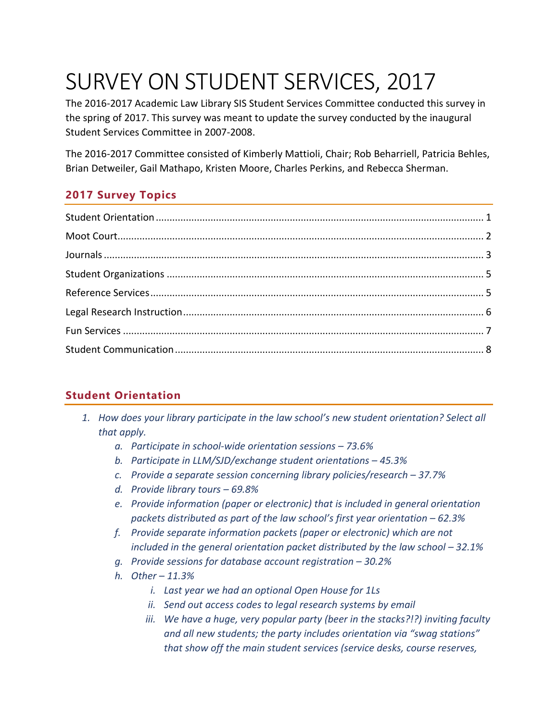# SURVEY ON STUDENT SERVICES, 2017

The 2016-2017 Academic Law Library SIS Student Services Committee conducted this survey in the spring of 2017. This survey was meant to update the survey conducted by the inaugural Student Services Committee in 2007-2008.

The 2016-2017 Committee consisted of Kimberly Mattioli, Chair; Rob Beharriell, Patricia Behles, Brian Detweiler, Gail Mathapo, Kristen Moore, Charles Perkins, and Rebecca Sherman.

# **2017 Survey Topics**

## <span id="page-0-0"></span>**Student Orientation**

- *1. How does your library participate in the law school's new student orientation? Select all that apply.*
	- *a. Participate in school-wide orientation sessions 73.6%*
	- *b. Participate in LLM/SJD/exchange student orientations 45.3%*
	- *c. Provide a separate session concerning library policies/research 37.7%*
	- *d. Provide library tours 69.8%*
	- *e. Provide information (paper or electronic) that is included in general orientation packets distributed as part of the law school's first year orientation – 62.3%*
	- *f. Provide separate information packets (paper or electronic) which are not included in the general orientation packet distributed by the law school – 32.1%*
	- *g. Provide sessions for database account registration 30.2%*
	- *h. Other 11.3%*
		- *i. Last year we had an optional Open House for 1Ls*
		- *ii. Send out access codes to legal research systems by email*
		- *iii. We have a huge, very popular party (beer in the stacks?!?) inviting faculty and all new students; the party includes orientation via "swag stations" that show off the main student services (service desks, course reserves,*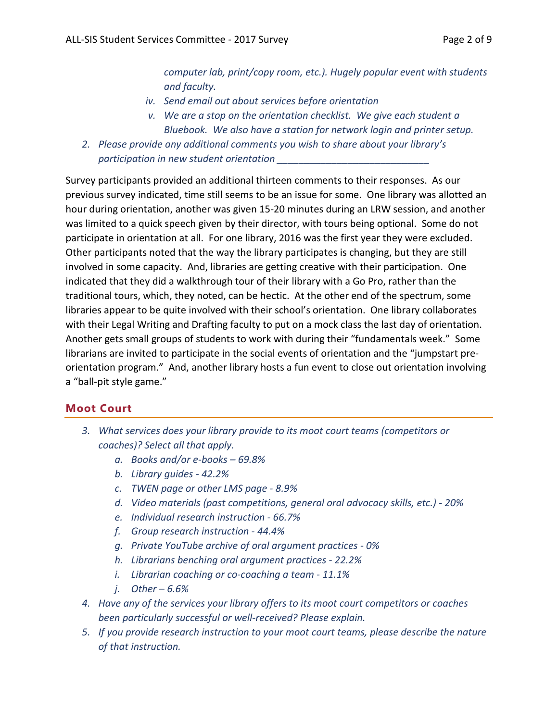*computer lab, print/copy room, etc.). Hugely popular event with students and faculty.*

- *iv. Send email out about services before orientation*
- *v. We are a stop on the orientation checklist. We give each student a Bluebook. We also have a station for network login and printer setup.*
- *2. Please provide any additional comments you wish to share about your library's participation in new student orientation \_\_\_\_\_\_\_\_\_\_\_\_\_\_\_\_\_\_\_\_\_\_\_\_\_\_\_\_*

Survey participants provided an additional thirteen comments to their responses. As our previous survey indicated, time still seems to be an issue for some. One library was allotted an hour during orientation, another was given 15-20 minutes during an LRW session, and another was limited to a quick speech given by their director, with tours being optional. Some do not participate in orientation at all. For one library, 2016 was the first year they were excluded. Other participants noted that the way the library participates is changing, but they are still involved in some capacity. And, libraries are getting creative with their participation. One indicated that they did a walkthrough tour of their library with a Go Pro, rather than the traditional tours, which, they noted, can be hectic. At the other end of the spectrum, some libraries appear to be quite involved with their school's orientation. One library collaborates with their Legal Writing and Drafting faculty to put on a mock class the last day of orientation. Another gets small groups of students to work with during their "fundamentals week." Some librarians are invited to participate in the social events of orientation and the "jumpstart preorientation program." And, another library hosts a fun event to close out orientation involving a "ball-pit style game."

### <span id="page-1-0"></span>**Moot Court**

- *3. What services does your library provide to its moot court teams (competitors or coaches)? Select all that apply.*
	- *a. Books and/or e-books 69.8%*
	- *b. Library guides 42.2%*
	- *c. TWEN page or other LMS page 8.9%*
	- *d. Video materials (past competitions, general oral advocacy skills, etc.) 20%*
	- *e. Individual research instruction 66.7%*
	- *f. Group research instruction 44.4%*
	- *g. Private YouTube archive of oral argument practices 0%*
	- *h. Librarians benching oral argument practices 22.2%*
	- *i. Librarian coaching or co-coaching a team 11.1%*
	- *j. Other 6.6%*
- *4. Have any of the services your library offers to its moot court competitors or coaches been particularly successful or well-received? Please explain.*
- *5. If you provide research instruction to your moot court teams, please describe the nature of that instruction.*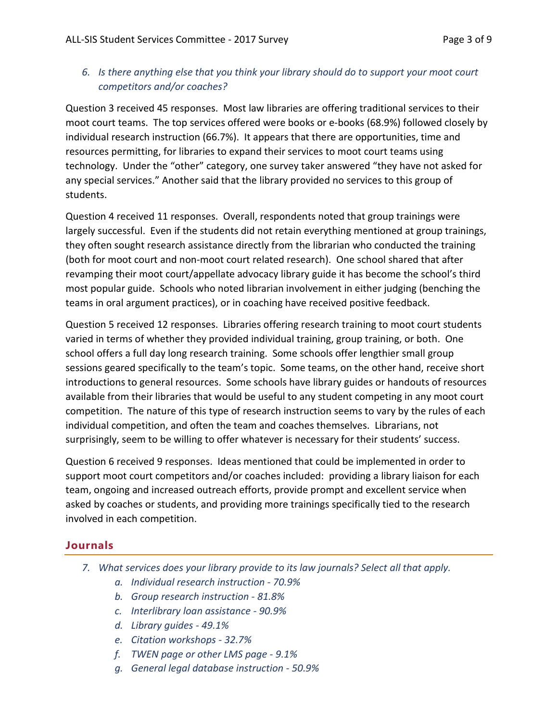### *6. Is there anything else that you think your library should do to support your moot court competitors and/or coaches?*

Question 3 received 45 responses. Most law libraries are offering traditional services to their moot court teams. The top services offered were books or e-books (68.9%) followed closely by individual research instruction (66.7%). It appears that there are opportunities, time and resources permitting, for libraries to expand their services to moot court teams using technology. Under the "other" category, one survey taker answered "they have not asked for any special services." Another said that the library provided no services to this group of students.

Question 4 received 11 responses. Overall, respondents noted that group trainings were largely successful. Even if the students did not retain everything mentioned at group trainings, they often sought research assistance directly from the librarian who conducted the training (both for moot court and non-moot court related research). One school shared that after revamping their moot court/appellate advocacy library guide it has become the school's third most popular guide. Schools who noted librarian involvement in either judging (benching the teams in oral argument practices), or in coaching have received positive feedback.

Question 5 received 12 responses. Libraries offering research training to moot court students varied in terms of whether they provided individual training, group training, or both. One school offers a full day long research training. Some schools offer lengthier small group sessions geared specifically to the team's topic. Some teams, on the other hand, receive short introductions to general resources. Some schools have library guides or handouts of resources available from their libraries that would be useful to any student competing in any moot court competition. The nature of this type of research instruction seems to vary by the rules of each individual competition, and often the team and coaches themselves. Librarians, not surprisingly, seem to be willing to offer whatever is necessary for their students' success.

Question 6 received 9 responses. Ideas mentioned that could be implemented in order to support moot court competitors and/or coaches included: providing a library liaison for each team, ongoing and increased outreach efforts, provide prompt and excellent service when asked by coaches or students, and providing more trainings specifically tied to the research involved in each competition.

### <span id="page-2-0"></span>**Journals**

- *7. What services does your library provide to its law journals? Select all that apply.*
	- *a. Individual research instruction 70.9%*
	- *b. Group research instruction 81.8%*
	- *c. Interlibrary loan assistance 90.9%*
	- *d. Library guides 49.1%*
	- *e. Citation workshops 32.7%*
	- *f. TWEN page or other LMS page 9.1%*
	- *g. General legal database instruction 50.9%*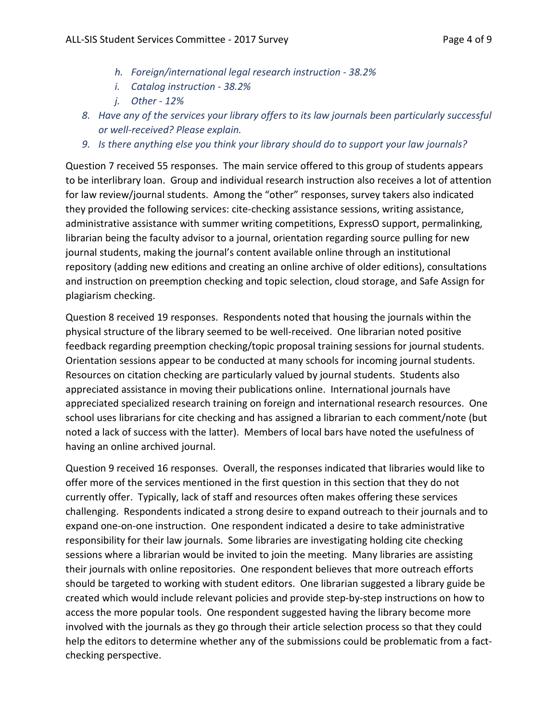- *h. Foreign/international legal research instruction 38.2%*
- *i. Catalog instruction 38.2%*
- *j. Other 12%*
- *8. Have any of the services your library offers to its law journals been particularly successful or well-received? Please explain.*
- *9. Is there anything else you think your library should do to support your law journals?*

Question 7 received 55 responses. The main service offered to this group of students appears to be interlibrary loan. Group and individual research instruction also receives a lot of attention for law review/journal students. Among the "other" responses, survey takers also indicated they provided the following services: cite-checking assistance sessions, writing assistance, administrative assistance with summer writing competitions, ExpressO support, permalinking, librarian being the faculty advisor to a journal, orientation regarding source pulling for new journal students, making the journal's content available online through an institutional repository (adding new editions and creating an online archive of older editions), consultations and instruction on preemption checking and topic selection, cloud storage, and Safe Assign for plagiarism checking.

Question 8 received 19 responses. Respondents noted that housing the journals within the physical structure of the library seemed to be well-received. One librarian noted positive feedback regarding preemption checking/topic proposal training sessions for journal students. Orientation sessions appear to be conducted at many schools for incoming journal students. Resources on citation checking are particularly valued by journal students. Students also appreciated assistance in moving their publications online. International journals have appreciated specialized research training on foreign and international research resources. One school uses librarians for cite checking and has assigned a librarian to each comment/note (but noted a lack of success with the latter). Members of local bars have noted the usefulness of having an online archived journal.

Question 9 received 16 responses. Overall, the responses indicated that libraries would like to offer more of the services mentioned in the first question in this section that they do not currently offer. Typically, lack of staff and resources often makes offering these services challenging. Respondents indicated a strong desire to expand outreach to their journals and to expand one-on-one instruction. One respondent indicated a desire to take administrative responsibility for their law journals. Some libraries are investigating holding cite checking sessions where a librarian would be invited to join the meeting. Many libraries are assisting their journals with online repositories. One respondent believes that more outreach efforts should be targeted to working with student editors. One librarian suggested a library guide be created which would include relevant policies and provide step-by-step instructions on how to access the more popular tools. One respondent suggested having the library become more involved with the journals as they go through their article selection process so that they could help the editors to determine whether any of the submissions could be problematic from a factchecking perspective.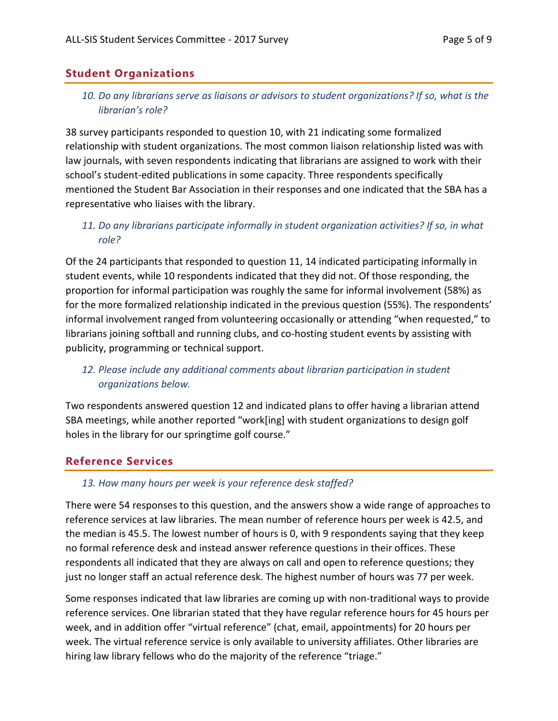## <span id="page-4-0"></span>**Student Organizations**

### *10. Do any librarians serve as liaisons or advisors to student organizations? If so, what is the librarian's role?*

38 survey participants responded to question 10, with 21 indicating some formalized relationship with student organizations. The most common liaison relationship listed was with law journals, with seven respondents indicating that librarians are assigned to work with their school's student-edited publications in some capacity. Three respondents specifically mentioned the Student Bar Association in their responses and one indicated that the SBA has a representative who liaises with the library.

### *11. Do any librarians participate informally in student organization activities? If so, in what role?*

Of the 24 participants that responded to question 11, 14 indicated participating informally in student events, while 10 respondents indicated that they did not. Of those responding, the proportion for informal participation was roughly the same for informal involvement (58%) as for the more formalized relationship indicated in the previous question (55%). The respondents' informal involvement ranged from volunteering occasionally or attending "when requested," to librarians joining softball and running clubs, and co-hosting student events by assisting with publicity, programming or technical support.

## 12. Please include any additional comments about librarian participation in student *organizations below.*

Two respondents answered question 12 and indicated plans to offer having a librarian attend SBA meetings, while another reported "work[ing] with student organizations to design golf holes in the library for our springtime golf course."

### <span id="page-4-1"></span>**Reference Services**

#### *13. How many hours per week is your reference desk staffed?*

There were 54 responses to this question, and the answers show a wide range of approaches to reference services at law libraries. The mean number of reference hours per week is 42.5, and the median is 45.5. The lowest number of hours is 0, with 9 respondents saying that they keep no formal reference desk and instead answer reference questions in their offices. These respondents all indicated that they are always on call and open to reference questions; they just no longer staff an actual reference desk. The highest number of hours was 77 per week.

Some responses indicated that law libraries are coming up with non-traditional ways to provide reference services. One librarian stated that they have regular reference hours for 45 hours per week, and in addition offer "virtual reference" (chat, email, appointments) for 20 hours per week. The virtual reference service is only available to university affiliates. Other libraries are hiring law library fellows who do the majority of the reference "triage."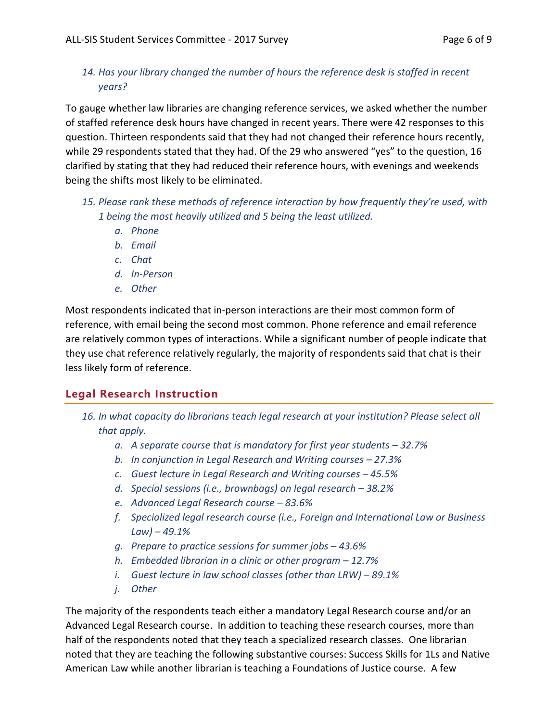### *14. Has your library changed the number of hours the reference desk is staffed in recent years?*

To gauge whether law libraries are changing reference services, we asked whether the number of staffed reference desk hours have changed in recent years. There were 42 responses to this question. Thirteen respondents said that they had not changed their reference hours recently, while 29 respondents stated that they had. Of the 29 who answered "yes" to the question, 16 clarified by stating that they had reduced their reference hours, with evenings and weekends being the shifts most likely to be eliminated.

- *15. Please rank these methods of reference interaction by how frequently they're used, with 1 being the most heavily utilized and 5 being the least utilized.* 
	- *a. Phone*
	- *b. Email*
	- *c. Chat*
	- *d. In-Person*
	- *e. Other*

Most respondents indicated that in-person interactions are their most common form of reference, with email being the second most common. Phone reference and email reference are relatively common types of interactions. While a significant number of people indicate that they use chat reference relatively regularly, the majority of respondents said that chat is their less likely form of reference.

## <span id="page-5-0"></span>**Legal Research Instruction**

- *16. In what capacity do librarians teach legal research at your institution? Please select all that apply.*
	- *a. A separate course that is mandatory for first year students 32.7%*
	- *b. In conjunction in Legal Research and Writing courses 27.3%*
	- *c. Guest lecture in Legal Research and Writing courses 45.5%*
	- *d. Special sessions (i.e., brownbags) on legal research 38.2%*
	- *e. Advanced Legal Research course 83.6%*
	- *f. Specialized legal research course (i.e., Foreign and International Law or Business Law) – 49.1%*
	- *g. Prepare to practice sessions for summer jobs 43.6%*
	- *h. Embedded librarian in a clinic or other program 12.7%*
	- *i. Guest lecture in law school classes (other than LRW) 89.1%*
	- *j. Other*

The majority of the respondents teach either a mandatory Legal Research course and/or an Advanced Legal Research course. In addition to teaching these research courses, more than half of the respondents noted that they teach a specialized research classes. One librarian noted that they are teaching the following substantive courses: Success Skills for 1Ls and Native American Law while another librarian is teaching a Foundations of Justice course. A few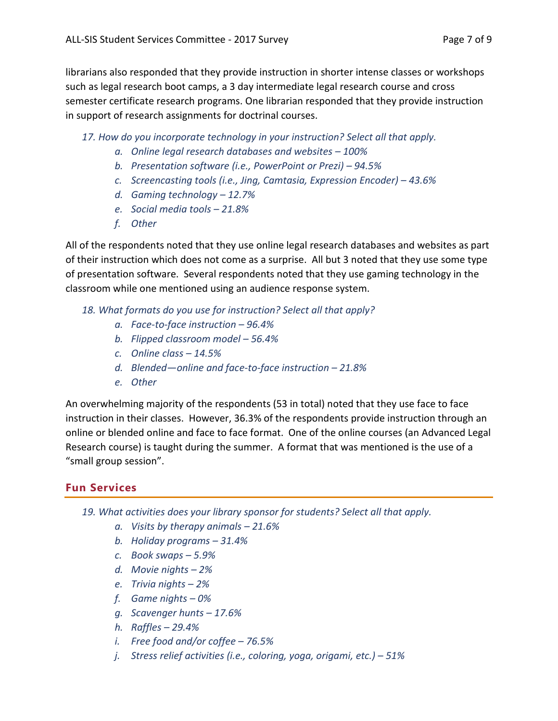librarians also responded that they provide instruction in shorter intense classes or workshops such as legal research boot camps, a 3 day intermediate legal research course and cross semester certificate research programs. One librarian responded that they provide instruction in support of research assignments for doctrinal courses.

- *17. How do you incorporate technology in your instruction? Select all that apply.*
	- *a. Online legal research databases and websites 100%*
	- *b. Presentation software (i.e., PowerPoint or Prezi) 94.5%*
	- *c. Screencasting tools (i.e., Jing, Camtasia, Expression Encoder) 43.6%*
	- *d. Gaming technology 12.7%*
	- *e. Social media tools 21.8%*
	- *f. Other*

All of the respondents noted that they use online legal research databases and websites as part of their instruction which does not come as a surprise. All but 3 noted that they use some type of presentation software. Several respondents noted that they use gaming technology in the classroom while one mentioned using an audience response system.

- *18. What formats do you use for instruction? Select all that apply?*
	- *a. Face-to-face instruction 96.4%*
	- *b. Flipped classroom model 56.4%*
	- *c. Online class 14.5%*
	- *d. Blended—online and face-to-face instruction 21.8%*
	- *e. Other*

An overwhelming majority of the respondents (53 in total) noted that they use face to face instruction in their classes. However, 36.3% of the respondents provide instruction through an online or blended online and face to face format. One of the online courses (an Advanced Legal Research course) is taught during the summer. A format that was mentioned is the use of a "small group session".

## <span id="page-6-0"></span>**Fun Services**

- *19. What activities does your library sponsor for students? Select all that apply.*
	- *a. Visits by therapy animals 21.6%*
	- *b. Holiday programs 31.4%*
	- *c. Book swaps 5.9%*
	- *d. Movie nights 2%*
	- *e. Trivia nights 2%*
	- *f. Game nights 0%*
	- *g. Scavenger hunts 17.6%*
	- *h. Raffles 29.4%*
	- *i. Free food and/or coffee 76.5%*
	- *j. Stress relief activities (i.e., coloring, yoga, origami, etc.) 51%*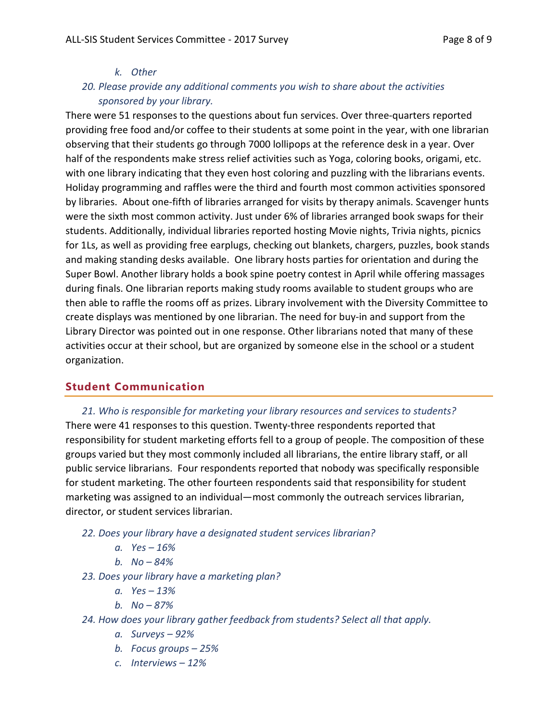#### *k. Other*

## *20. Please provide any additional comments you wish to share about the activities sponsored by your library.*

There were 51 responses to the questions about fun services. Over three-quarters reported providing free food and/or coffee to their students at some point in the year, with one librarian observing that their students go through 7000 lollipops at the reference desk in a year. Over half of the respondents make stress relief activities such as Yoga, coloring books, origami, etc. with one library indicating that they even host coloring and puzzling with the librarians events. Holiday programming and raffles were the third and fourth most common activities sponsored by libraries. About one-fifth of libraries arranged for visits by therapy animals. Scavenger hunts were the sixth most common activity. Just under 6% of libraries arranged book swaps for their students. Additionally, individual libraries reported hosting Movie nights, Trivia nights, picnics for 1Ls, as well as providing free earplugs, checking out blankets, chargers, puzzles, book stands and making standing desks available. One library hosts parties for orientation and during the Super Bowl. Another library holds a book spine poetry contest in April while offering massages during finals. One librarian reports making study rooms available to student groups who are then able to raffle the rooms off as prizes. Library involvement with the Diversity Committee to create displays was mentioned by one librarian. The need for buy-in and support from the Library Director was pointed out in one response. Other librarians noted that many of these activities occur at their school, but are organized by someone else in the school or a student organization.

## <span id="page-7-0"></span>**Student Communication**

*21. Who is responsible for marketing your library resources and services to students?* There were 41 responses to this question. Twenty-three respondents reported that responsibility for student marketing efforts fell to a group of people. The composition of these groups varied but they most commonly included all librarians, the entire library staff, or all public service librarians. Four respondents reported that nobody was specifically responsible for student marketing. The other fourteen respondents said that responsibility for student marketing was assigned to an individual—most commonly the outreach services librarian, director, or student services librarian.

- *22. Does your library have a designated student services librarian?*
	- *a. Yes 16%*
	- *b. No 84%*
- *23. Does your library have a marketing plan?*
	- *a. Yes 13%*
	- *b. No 87%*
- *24. How does your library gather feedback from students? Select all that apply.*
	- *a. Surveys 92%*
	- *b. Focus groups 25%*
	- *c. Interviews 12%*